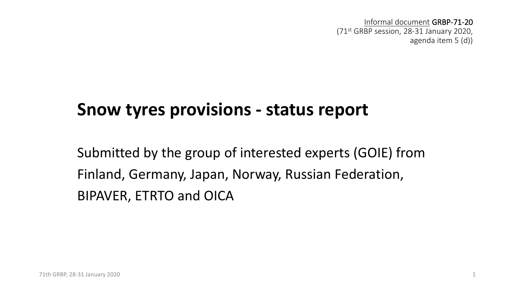Informal document GRBP-71-20 (71st GRBP session, 28-31 January 2020, agenda item 5 (d))

#### **Snow tyres provisions - status report**

Submitted by the group of interested experts (GOIE) from Finland, Germany, Japan, Norway, Russian Federation, BIPAVER, ETRTO and OICA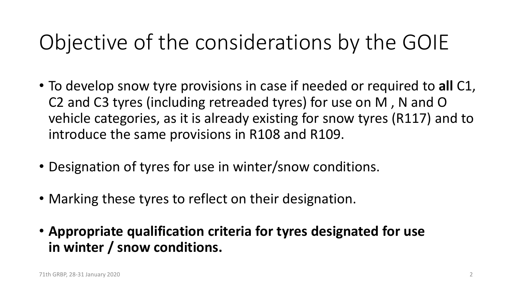# Objective of the considerations by the GOIE

- To develop snow tyre provisions in case if needed or required to **all** C1, C2 and C3 tyres (including retreaded tyres) for use on M , N and O vehicle categories, as it is already existing for snow tyres (R117) and to introduce the same provisions in R108 and R109.
- Designation of tyres for use in winter/snow conditions.
- Marking these tyres to reflect on their designation.
- **Appropriate qualification criteria for tyres designated for use in winter / snow conditions.**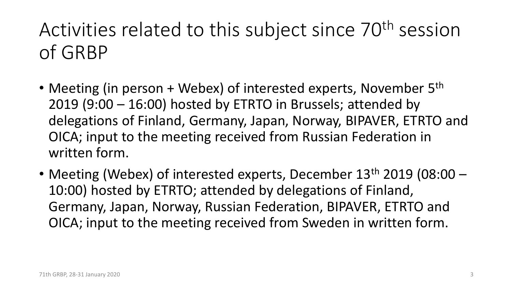### Activities related to this subject since 70<sup>th</sup> session of GRBP

- Meeting (in person + Webex) of interested experts, November 5<sup>th</sup> 2019 (9:00 – 16:00) hosted by ETRTO in Brussels; attended by delegations of Finland, Germany, Japan, Norway, BIPAVER, ETRTO and OICA; input to the meeting received from Russian Federation in written form.
- Meeting (Webex) of interested experts, December  $13<sup>th</sup>$  2019 (08:00 10:00) hosted by ETRTO; attended by delegations of Finland, Germany, Japan, Norway, Russian Federation, BIPAVER, ETRTO and OICA; input to the meeting received from Sweden in written form.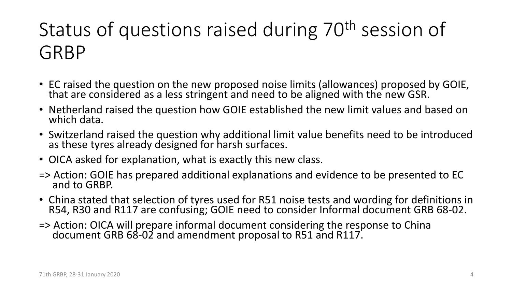## Status of questions raised during 70<sup>th</sup> session of GRBP

- EC raised the question on the new proposed noise limits (allowances) proposed by GOIE, that are considered as a less stringent and need to be aligned with the new GSR.
- Netherland raised the question how GOIE established the new limit values and based on which data.
- Switzerland raised the question why additional limit value benefits need to be introduced as these tyres already designed for harsh surfaces.
- OICA asked for explanation, what is exactly this new class.
- => Action: GOIE has prepared additional explanations and evidence to be presented to EC<br>and to GRBP.
- China stated that selection of tyres used for R51 noise tests and wording for definitions in<br>R54, R30 and R117 are confusing; GOIE need to consider Informal document GRB 68-02.
- => Action: OICA will prepare informal document considering the response to China document GRB 68-02 and amendment proposal to R51 and R117.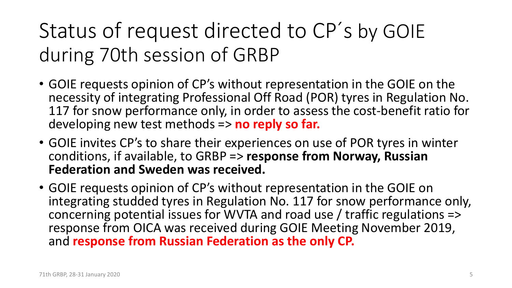## Status of request directed to CP´ s by GOIE during 70th session of GRBP

- GOIE requests opinion of CP's without representation in the GOIE on the necessity of integrating Professional Off Road (POR) tyres in Regulation No. 117 for snow performance only, in order to assess the cost-benefit ratio for developing new test methods => **no reply so far.**
- GOIE invites CP's to share their experiences on use of POR tyres in winter conditions, if available, to GRBP => **response from Norway, Russian Federation and Sweden was received.**
- GOIE requests opinion of CP's without representation in the GOIE on integrating studded tyres in Regulation No. 117 for snow performance only, concerning potential issues for WVTA and road use / traffic regulations => response from OICA was received during GOIE Meeting November 2019, and **response from Russian Federation as the only CP.**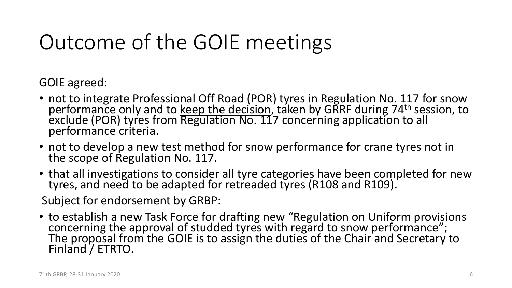# Outcome of the GOIE meetings

GOIE agreed:

- not to integrate Professional Off Road (POR) tyres in Regulation No. 117 for snow performance only and to keep the decision, taken by GRRF during 74<sup>th</sup> session, to exclude (POR) tyres from Regulation No. 117 concerning application to all performance criteria.
- not to develop a new test method for snow performance for crane tyres not in the scope of Regulation No. 117.
- that all investigations to consider all tyre categories have been completed for new tyres, and need to be adapted for retreaded tyres (R108 and R109).

Subject for endorsement by GRBP:

• to establish a new Task Force for drafting new "Regulation on Uniform provisions concerning the approval of studded tyres with regard to snow performance"; The proposal from the GOIE is to assign the duties of the Chair and Secretary to Finland / ETRTO.